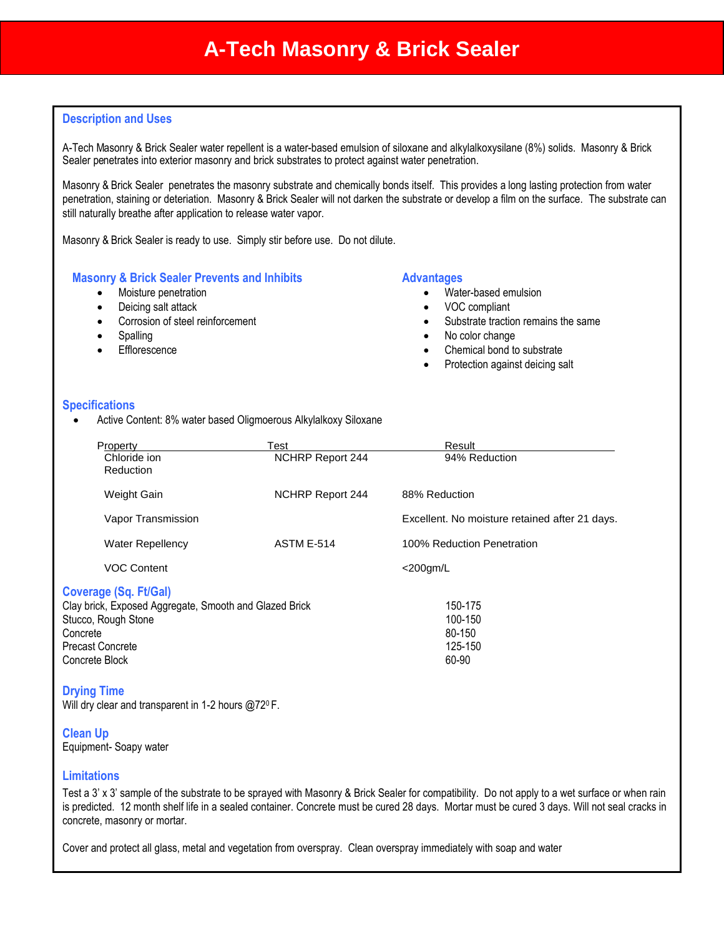## **Description and Uses**

A-Tech Masonry & Brick Sealer water repellent is a water-based emulsion of siloxane and alkylalkoxysilane (8%) solids. Masonry & Brick Sealer penetrates into exterior masonry and brick substrates to protect against water penetration.

Masonry & Brick Sealer penetrates the masonry substrate and chemically bonds itself. This provides a long lasting protection from water penetration, staining or deteriation. Masonry & Brick Sealer will not darken the substrate or develop a film on the surface. The substrate can still naturally breathe after application to release water vapor.

Masonry & Brick Sealer is ready to use. Simply stir before use. Do not dilute.

#### **Masonry & Brick Sealer Prevents and Inhibits**

- Moisture penetration
- Deicing salt attack
- Corrosion of steel reinforcement
- Spalling
- **Efflorescence**

#### **Advantages**

- Water-based emulsion
- VOC compliant
- Substrate traction remains the same
- No color change
- Chemical bond to substrate
- Protection against deicing salt

#### **Specifications**

Active Content: 8% water based Oligmoerous Alkylalkoxy Siloxane

| Property                                               | Test                    | Result                                         |
|--------------------------------------------------------|-------------------------|------------------------------------------------|
| Chloride ion<br>Reduction                              | <b>NCHRP Report 244</b> | 94% Reduction                                  |
| Weight Gain                                            | NCHRP Report 244        | 88% Reduction                                  |
| Vapor Transmission                                     |                         | Excellent. No moisture retained after 21 days. |
| <b>Water Repellency</b>                                | ASTM E-514              | 100% Reduction Penetration                     |
| <b>VOC Content</b>                                     |                         | $<$ 200 $qm/L$                                 |
| Coverage (Sq. Ft/Gal)                                  |                         |                                                |
| Clay brick, Exposed Aggregate, Smooth and Glazed Brick |                         | 150-175                                        |
| Stucco, Rough Stone                                    |                         | 100-150                                        |
| Concrete                                               |                         | 80-150                                         |
| Precast Concrete                                       |                         | 125-150                                        |
| Concrete Block                                         |                         | 60-90                                          |

#### **Drying Time**

Will dry clear and transparent in 1-2 hours @72<sup>0</sup> F.

#### **Clean Up**

Equipment- Soapy water

## **Limitations**

Test a 3' x 3' sample of the substrate to be sprayed with Masonry & Brick Sealer for compatibility. Do not apply to a wet surface or when rain is predicted. 12 month shelf life in a sealed container. Concrete must be cured 28 days. Mortar must be cured 3 days. Will not seal cracks in concrete, masonry or mortar.

Cover and protect all glass, metal and vegetation from overspray. Clean overspray immediately with soap and water